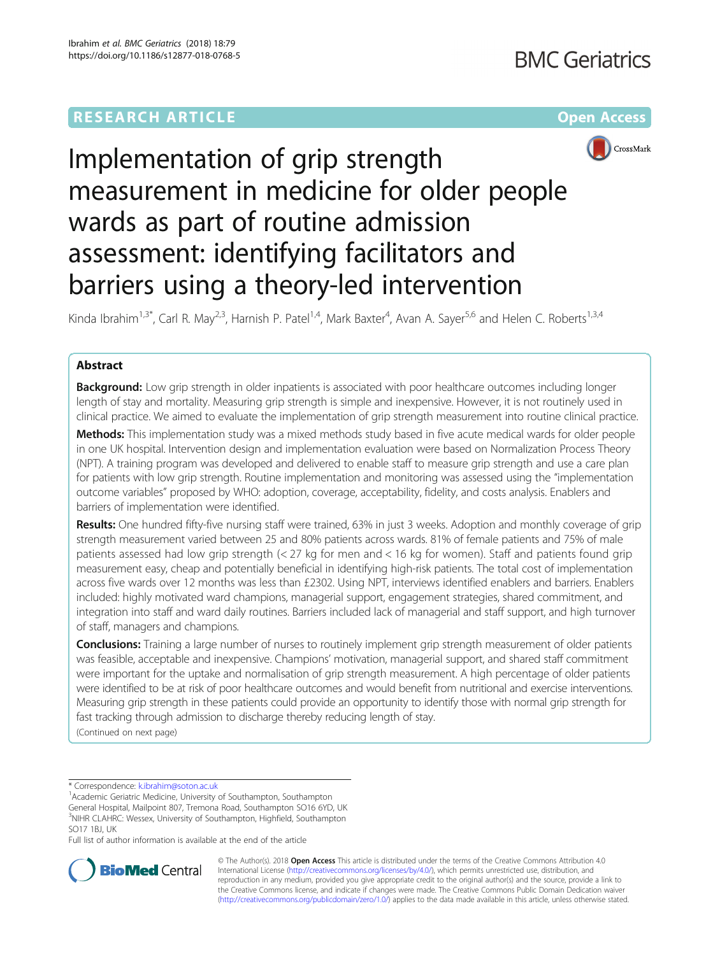# **RESEARCH ARTICLE Example 2014 12:30 The Contract of Contract ACCESS**





# Implementation of grip strength measurement in medicine for older people wards as part of routine admission assessment: identifying facilitators and barriers using a theory-led intervention

Kinda Ibrahim<sup>1,3\*</sup>, Carl R. May<sup>2,3</sup>, Harnish P. Patel<sup>1,4</sup>, Mark Baxter<sup>4</sup>, Avan A. Sayer<sup>5,6</sup> and Helen C. Roberts<sup>1,3,4</sup>

## Abstract

Background: Low grip strength in older inpatients is associated with poor healthcare outcomes including longer length of stay and mortality. Measuring grip strength is simple and inexpensive. However, it is not routinely used in clinical practice. We aimed to evaluate the implementation of grip strength measurement into routine clinical practice.

Methods: This implementation study was a mixed methods study based in five acute medical wards for older people in one UK hospital. Intervention design and implementation evaluation were based on Normalization Process Theory (NPT). A training program was developed and delivered to enable staff to measure grip strength and use a care plan for patients with low grip strength. Routine implementation and monitoring was assessed using the "implementation outcome variables" proposed by WHO: adoption, coverage, acceptability, fidelity, and costs analysis. Enablers and barriers of implementation were identified.

Results: One hundred fifty-five nursing staff were trained, 63% in just 3 weeks. Adoption and monthly coverage of grip strength measurement varied between 25 and 80% patients across wards. 81% of female patients and 75% of male patients assessed had low grip strength (< 27 kg for men and < 16 kg for women). Staff and patients found grip measurement easy, cheap and potentially beneficial in identifying high-risk patients. The total cost of implementation across five wards over 12 months was less than £2302. Using NPT, interviews identified enablers and barriers. Enablers included: highly motivated ward champions, managerial support, engagement strategies, shared commitment, and integration into staff and ward daily routines. Barriers included lack of managerial and staff support, and high turnover of staff, managers and champions.

Conclusions: Training a large number of nurses to routinely implement grip strength measurement of older patients was feasible, acceptable and inexpensive. Champions' motivation, managerial support, and shared staff commitment were important for the uptake and normalisation of grip strength measurement. A high percentage of older patients were identified to be at risk of poor healthcare outcomes and would benefit from nutritional and exercise interventions. Measuring grip strength in these patients could provide an opportunity to identify those with normal grip strength for fast tracking through admission to discharge thereby reducing length of stay. (Continued on next page)

\* Correspondence: [k.ibrahim@soton.ac.uk](mailto:k.ibrahim@soton.ac.uk) <sup>1</sup>

Academic Geriatric Medicine, University of Southampton, Southampton

General Hospital, Mailpoint 807, Tremona Road, Southampton SO16 6YD, UK <sup>3</sup>NIHR CLAHRC: Wessex, University of Southampton, Highfield, Southampton SO17 1BJ, UK

Full list of author information is available at the end of the article



© The Author(s). 2018 Open Access This article is distributed under the terms of the Creative Commons Attribution 4.0 International License [\(http://creativecommons.org/licenses/by/4.0/](http://creativecommons.org/licenses/by/4.0/)), which permits unrestricted use, distribution, and reproduction in any medium, provided you give appropriate credit to the original author(s) and the source, provide a link to the Creative Commons license, and indicate if changes were made. The Creative Commons Public Domain Dedication waiver [\(http://creativecommons.org/publicdomain/zero/1.0/](http://creativecommons.org/publicdomain/zero/1.0/)) applies to the data made available in this article, unless otherwise stated.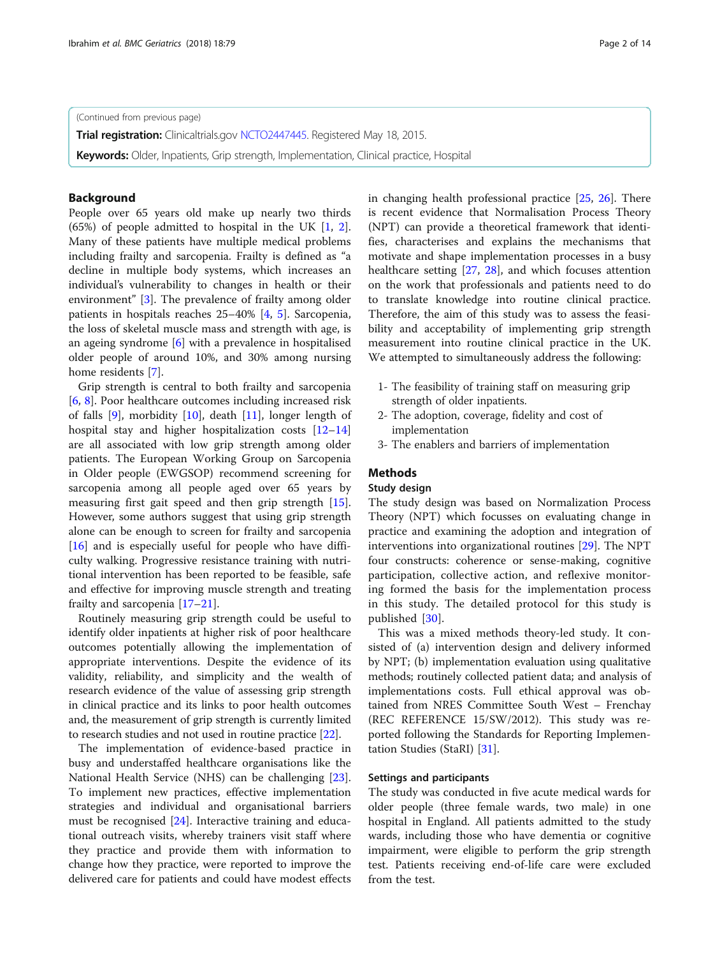(Continued from previous page)

**Trial registration:** Clinicaltrials.gov [NCTO2447445.](https://clinicaltrials.gov/ct2/show/NCT02447445) Registered May 18, 2015.

**Keywords:** Older, Inpatients, Grip strength, Implementation, Clinical practice, Hospital

## Background

People over 65 years old make up nearly two thirds (65%) of people admitted to hospital in the UK [[1,](#page-12-0) [2](#page-12-0)]. Many of these patients have multiple medical problems including frailty and sarcopenia. Frailty is defined as "a decline in multiple body systems, which increases an individual's vulnerability to changes in health or their environment" [\[3](#page-12-0)]. The prevalence of frailty among older patients in hospitals reaches 25–40% [\[4](#page-12-0), [5](#page-12-0)]. Sarcopenia, the loss of skeletal muscle mass and strength with age, is an ageing syndrome [\[6](#page-12-0)] with a prevalence in hospitalised older people of around 10%, and 30% among nursing home residents [\[7](#page-12-0)].

Grip strength is central to both frailty and sarcopenia [[6,](#page-12-0) [8\]](#page-12-0). Poor healthcare outcomes including increased risk of falls [\[9](#page-12-0)], morbidity [\[10](#page-12-0)], death [\[11](#page-12-0)], longer length of hospital stay and higher hospitalization costs [[12](#page-12-0)–[14](#page-12-0)] are all associated with low grip strength among older patients. The European Working Group on Sarcopenia in Older people (EWGSOP) recommend screening for sarcopenia among all people aged over 65 years by measuring first gait speed and then grip strength [\[15](#page-12-0)]. However, some authors suggest that using grip strength alone can be enough to screen for frailty and sarcopenia [[16\]](#page-12-0) and is especially useful for people who have difficulty walking. Progressive resistance training with nutritional intervention has been reported to be feasible, safe and effective for improving muscle strength and treating frailty and sarcopenia [[17](#page-12-0)–[21](#page-12-0)].

Routinely measuring grip strength could be useful to identify older inpatients at higher risk of poor healthcare outcomes potentially allowing the implementation of appropriate interventions. Despite the evidence of its validity, reliability, and simplicity and the wealth of research evidence of the value of assessing grip strength in clinical practice and its links to poor health outcomes and, the measurement of grip strength is currently limited to research studies and not used in routine practice [\[22](#page-12-0)].

The implementation of evidence-based practice in busy and understaffed healthcare organisations like the National Health Service (NHS) can be challenging [\[23](#page-12-0)]. To implement new practices, effective implementation strategies and individual and organisational barriers must be recognised [[24\]](#page-12-0). Interactive training and educational outreach visits, whereby trainers visit staff where they practice and provide them with information to change how they practice, were reported to improve the delivered care for patients and could have modest effects in changing health professional practice [\[25,](#page-12-0) [26\]](#page-12-0). There is recent evidence that Normalisation Process Theory (NPT) can provide a theoretical framework that identifies, characterises and explains the mechanisms that motivate and shape implementation processes in a busy healthcare setting [\[27](#page-12-0), [28](#page-12-0)], and which focuses attention on the work that professionals and patients need to do to translate knowledge into routine clinical practice. Therefore, the aim of this study was to assess the feasibility and acceptability of implementing grip strength measurement into routine clinical practice in the UK. We attempted to simultaneously address the following:

- 1- The feasibility of training staff on measuring grip strength of older inpatients.
- 2- The adoption, coverage, fidelity and cost of implementation
- 3- The enablers and barriers of implementation

## Methods

## Study design

The study design was based on Normalization Process Theory (NPT) which focusses on evaluating change in practice and examining the adoption and integration of interventions into organizational routines [[29](#page-12-0)]. The NPT four constructs: coherence or sense-making, cognitive participation, collective action, and reflexive monitoring formed the basis for the implementation process in this study. The detailed protocol for this study is published [\[30](#page-12-0)].

This was a mixed methods theory-led study. It consisted of (a) intervention design and delivery informed by NPT; (b) implementation evaluation using qualitative methods; routinely collected patient data; and analysis of implementations costs. Full ethical approval was obtained from NRES Committee South West – Frenchay (REC REFERENCE 15/SW/2012). This study was reported following the Standards for Reporting Implementation Studies (StaRI) [\[31](#page-12-0)].

## Settings and participants

The study was conducted in five acute medical wards for older people (three female wards, two male) in one hospital in England. All patients admitted to the study wards, including those who have dementia or cognitive impairment, were eligible to perform the grip strength test. Patients receiving end-of-life care were excluded from the test.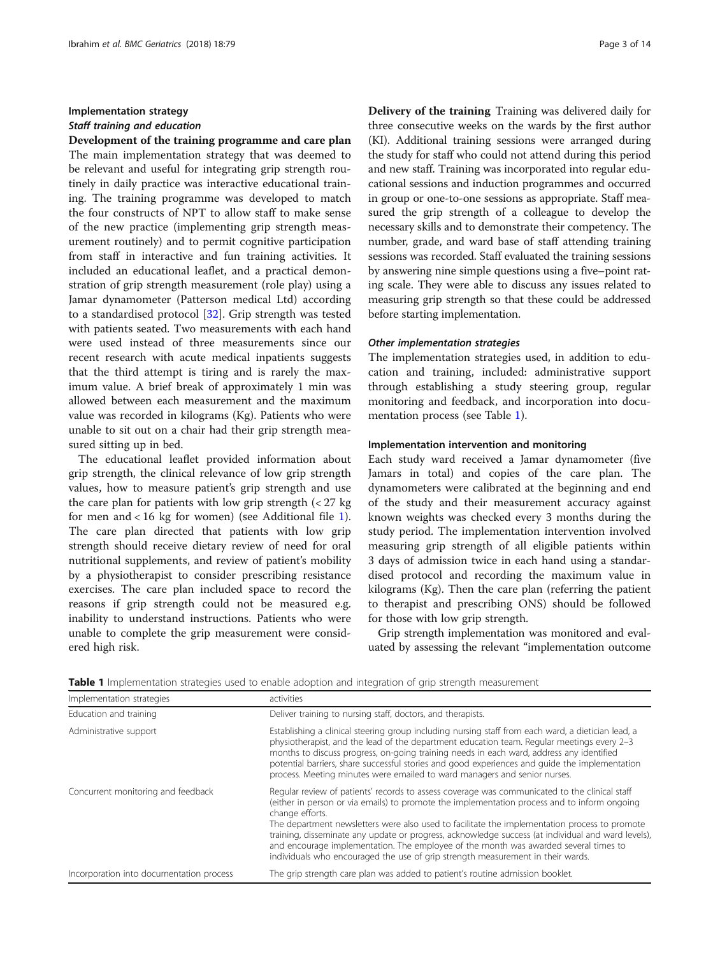## Implementation strategy Staff training and education

Development of the training programme and care plan The main implementation strategy that was deemed to be relevant and useful for integrating grip strength routinely in daily practice was interactive educational training. The training programme was developed to match the four constructs of NPT to allow staff to make sense of the new practice (implementing grip strength measurement routinely) and to permit cognitive participation from staff in interactive and fun training activities. It included an educational leaflet, and a practical demonstration of grip strength measurement (role play) using a Jamar dynamometer (Patterson medical Ltd) according to a standardised protocol [\[32\]](#page-12-0). Grip strength was tested with patients seated. Two measurements with each hand were used instead of three measurements since our recent research with acute medical inpatients suggests that the third attempt is tiring and is rarely the maximum value. A brief break of approximately 1 min was allowed between each measurement and the maximum value was recorded in kilograms (Kg). Patients who were unable to sit out on a chair had their grip strength measured sitting up in bed.

The educational leaflet provided information about grip strength, the clinical relevance of low grip strength values, how to measure patient's grip strength and use the care plan for patients with low grip strength  $\left($  < 27 kg for men and < 16 kg for women) (see Additional file [1](#page-11-0)). The care plan directed that patients with low grip strength should receive dietary review of need for oral nutritional supplements, and review of patient's mobility by a physiotherapist to consider prescribing resistance exercises. The care plan included space to record the reasons if grip strength could not be measured e.g. inability to understand instructions. Patients who were unable to complete the grip measurement were considered high risk.

Delivery of the training Training was delivered daily for three consecutive weeks on the wards by the first author (KI). Additional training sessions were arranged during the study for staff who could not attend during this period and new staff. Training was incorporated into regular educational sessions and induction programmes and occurred in group or one-to-one sessions as appropriate. Staff measured the grip strength of a colleague to develop the necessary skills and to demonstrate their competency. The number, grade, and ward base of staff attending training sessions was recorded. Staff evaluated the training sessions by answering nine simple questions using a five–point rating scale. They were able to discuss any issues related to measuring grip strength so that these could be addressed before starting implementation.

#### Other implementation strategies

The implementation strategies used, in addition to education and training, included: administrative support through establishing a study steering group, regular monitoring and feedback, and incorporation into documentation process (see Table 1).

#### Implementation intervention and monitoring

Each study ward received a Jamar dynamometer (five Jamars in total) and copies of the care plan. The dynamometers were calibrated at the beginning and end of the study and their measurement accuracy against known weights was checked every 3 months during the study period. The implementation intervention involved measuring grip strength of all eligible patients within 3 days of admission twice in each hand using a standardised protocol and recording the maximum value in kilograms (Kg). Then the care plan (referring the patient to therapist and prescribing ONS) should be followed for those with low grip strength.

Grip strength implementation was monitored and evaluated by assessing the relevant "implementation outcome

Table 1 Implementation strategies used to enable adoption and integration of grip strength measurement

| Implementation strategies                | activities                                                                                                                                                                                                                                                                                                                                                                                                                                                                                                                                                                                         |
|------------------------------------------|----------------------------------------------------------------------------------------------------------------------------------------------------------------------------------------------------------------------------------------------------------------------------------------------------------------------------------------------------------------------------------------------------------------------------------------------------------------------------------------------------------------------------------------------------------------------------------------------------|
| Education and training                   | Deliver training to nursing staff, doctors, and therapists.                                                                                                                                                                                                                                                                                                                                                                                                                                                                                                                                        |
| Administrative support                   | Establishing a clinical steering group including nursing staff from each ward, a dietician lead, a<br>physiotherapist, and the lead of the department education team. Regular meetings every 2-3<br>months to discuss progress, on-going training needs in each ward, address any identified<br>potential barriers, share successful stories and good experiences and guide the implementation<br>process. Meeting minutes were emailed to ward managers and senior nurses.                                                                                                                        |
| Concurrent monitoring and feedback       | Regular review of patients' records to assess coverage was communicated to the clinical staff<br>(either in person or via emails) to promote the implementation process and to inform ongoing<br>change efforts.<br>The department newsletters were also used to facilitate the implementation process to promote<br>training, disseminate any update or progress, acknowledge success (at individual and ward levels),<br>and encourage implementation. The employee of the month was awarded several times to<br>individuals who encouraged the use of grip strength measurement in their wards. |
| Incorporation into documentation process | The grip strength care plan was added to patient's routine admission booklet.                                                                                                                                                                                                                                                                                                                                                                                                                                                                                                                      |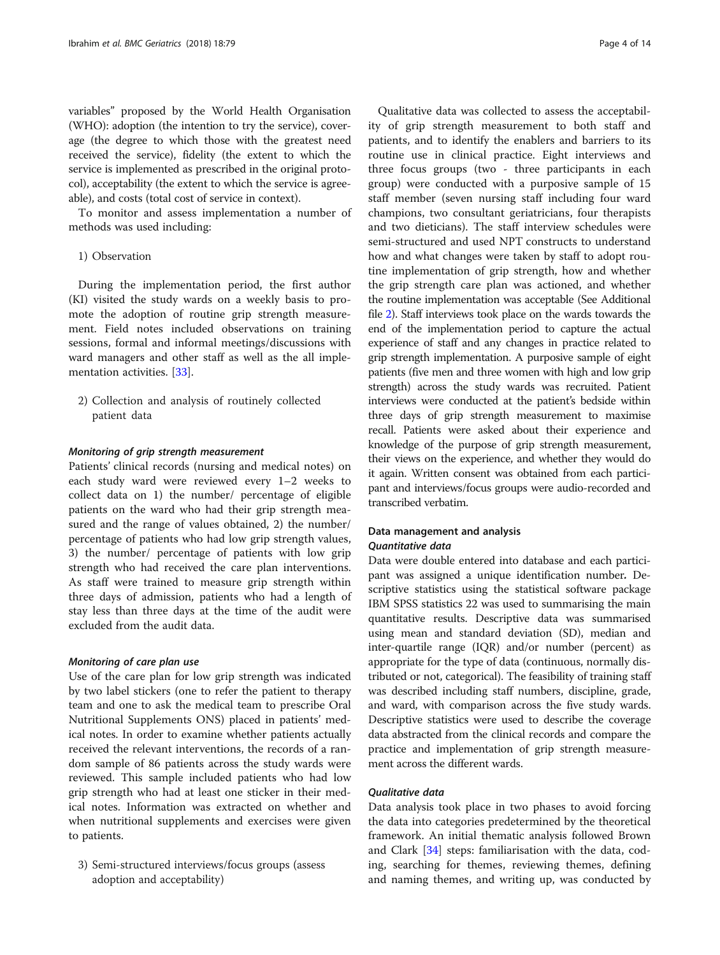variables" proposed by the World Health Organisation (WHO): adoption (the intention to try the service), coverage (the degree to which those with the greatest need received the service), fidelity (the extent to which the service is implemented as prescribed in the original protocol), acceptability (the extent to which the service is agreeable), and costs (total cost of service in context).

To monitor and assess implementation a number of methods was used including:

#### 1) Observation

During the implementation period, the first author (KI) visited the study wards on a weekly basis to promote the adoption of routine grip strength measurement. Field notes included observations on training sessions, formal and informal meetings/discussions with ward managers and other staff as well as the all implementation activities. [\[33\]](#page-12-0).

2) Collection and analysis of routinely collected patient data

#### Monitoring of grip strength measurement

Patients' clinical records (nursing and medical notes) on each study ward were reviewed every 1–2 weeks to collect data on 1) the number/ percentage of eligible patients on the ward who had their grip strength measured and the range of values obtained, 2) the number/ percentage of patients who had low grip strength values, 3) the number/ percentage of patients with low grip strength who had received the care plan interventions. As staff were trained to measure grip strength within three days of admission, patients who had a length of stay less than three days at the time of the audit were excluded from the audit data.

#### Monitoring of care plan use

Use of the care plan for low grip strength was indicated by two label stickers (one to refer the patient to therapy team and one to ask the medical team to prescribe Oral Nutritional Supplements ONS) placed in patients' medical notes. In order to examine whether patients actually received the relevant interventions, the records of a random sample of 86 patients across the study wards were reviewed. This sample included patients who had low grip strength who had at least one sticker in their medical notes. Information was extracted on whether and when nutritional supplements and exercises were given to patients.

3) Semi-structured interviews/focus groups (assess adoption and acceptability)

Qualitative data was collected to assess the acceptability of grip strength measurement to both staff and patients, and to identify the enablers and barriers to its routine use in clinical practice. Eight interviews and three focus groups (two - three participants in each group) were conducted with a purposive sample of 15 staff member (seven nursing staff including four ward champions, two consultant geriatricians, four therapists and two dieticians). The staff interview schedules were semi-structured and used NPT constructs to understand how and what changes were taken by staff to adopt routine implementation of grip strength, how and whether the grip strength care plan was actioned, and whether the routine implementation was acceptable (See Additional file [2\)](#page-11-0). Staff interviews took place on the wards towards the end of the implementation period to capture the actual experience of staff and any changes in practice related to grip strength implementation. A purposive sample of eight patients (five men and three women with high and low grip strength) across the study wards was recruited. Patient interviews were conducted at the patient's bedside within three days of grip strength measurement to maximise recall. Patients were asked about their experience and knowledge of the purpose of grip strength measurement, their views on the experience, and whether they would do it again. Written consent was obtained from each participant and interviews/focus groups were audio-recorded and transcribed verbatim.

## Data management and analysis Quantitative data

Data were double entered into database and each participant was assigned a unique identification number. Descriptive statistics using the statistical software package IBM SPSS statistics 22 was used to summarising the main quantitative results. Descriptive data was summarised using mean and standard deviation (SD), median and inter-quartile range (IQR) and/or number (percent) as appropriate for the type of data (continuous, normally distributed or not, categorical). The feasibility of training staff was described including staff numbers, discipline, grade, and ward, with comparison across the five study wards. Descriptive statistics were used to describe the coverage data abstracted from the clinical records and compare the practice and implementation of grip strength measurement across the different wards.

## Qualitative data

Data analysis took place in two phases to avoid forcing the data into categories predetermined by the theoretical framework. An initial thematic analysis followed Brown and Clark [[34\]](#page-12-0) steps: familiarisation with the data, coding, searching for themes, reviewing themes, defining and naming themes, and writing up, was conducted by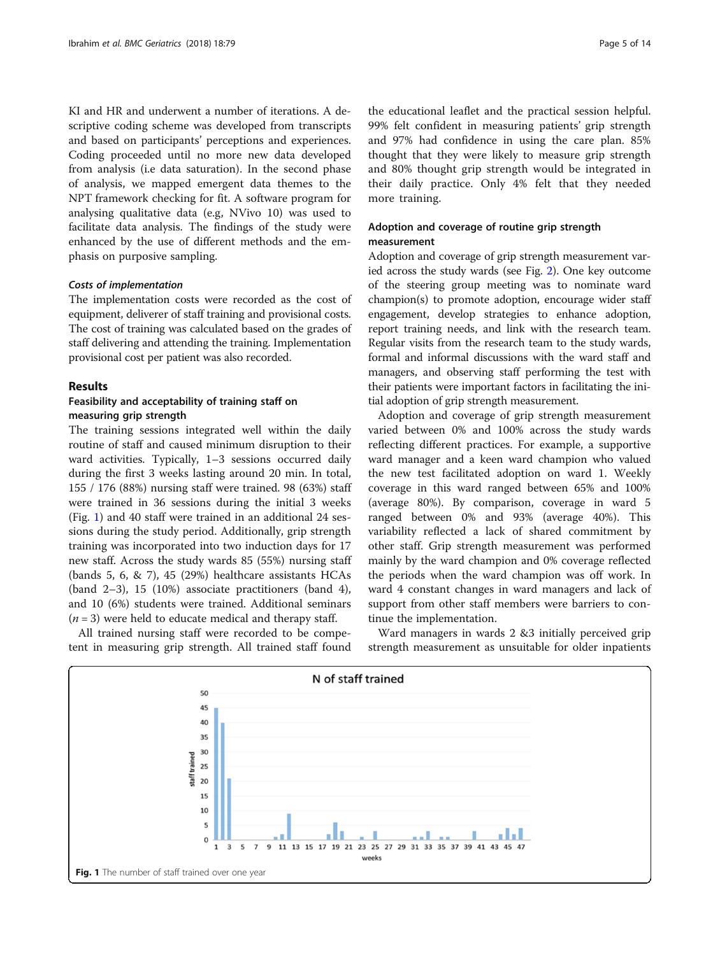KI and HR and underwent a number of iterations. A descriptive coding scheme was developed from transcripts and based on participants' perceptions and experiences. Coding proceeded until no more new data developed from analysis (i.e data saturation). In the second phase of analysis, we mapped emergent data themes to the NPT framework checking for fit. A software program for analysing qualitative data (e.g, NVivo 10) was used to facilitate data analysis. The findings of the study were enhanced by the use of different methods and the emphasis on purposive sampling.

#### Costs of implementation

The implementation costs were recorded as the cost of equipment, deliverer of staff training and provisional costs. The cost of training was calculated based on the grades of staff delivering and attending the training. Implementation provisional cost per patient was also recorded.

## Results

## Feasibility and acceptability of training staff on measuring grip strength

The training sessions integrated well within the daily routine of staff and caused minimum disruption to their ward activities. Typically, 1–3 sessions occurred daily during the first 3 weeks lasting around 20 min. In total, 155 / 176 (88%) nursing staff were trained. 98 (63%) staff were trained in 36 sessions during the initial 3 weeks (Fig. 1) and 40 staff were trained in an additional 24 sessions during the study period. Additionally, grip strength training was incorporated into two induction days for 17 new staff. Across the study wards 85 (55%) nursing staff (bands 5, 6, & 7), 45 (29%) healthcare assistants HCAs (band 2–3), 15 (10%) associate practitioners (band 4), and 10 (6%) students were trained. Additional seminars  $(n = 3)$  were held to educate medical and therapy staff.

All trained nursing staff were recorded to be competent in measuring grip strength. All trained staff found

the educational leaflet and the practical session helpful. 99% felt confident in measuring patients' grip strength and 97% had confidence in using the care plan. 85% thought that they were likely to measure grip strength and 80% thought grip strength would be integrated in their daily practice. Only 4% felt that they needed more training.

## Adoption and coverage of routine grip strength measurement

Adoption and coverage of grip strength measurement varied across the study wards (see Fig. [2](#page-5-0)). One key outcome of the steering group meeting was to nominate ward champion(s) to promote adoption, encourage wider staff engagement, develop strategies to enhance adoption, report training needs, and link with the research team. Regular visits from the research team to the study wards, formal and informal discussions with the ward staff and managers, and observing staff performing the test with their patients were important factors in facilitating the initial adoption of grip strength measurement.

Adoption and coverage of grip strength measurement varied between 0% and 100% across the study wards reflecting different practices. For example, a supportive ward manager and a keen ward champion who valued the new test facilitated adoption on ward 1. Weekly coverage in this ward ranged between 65% and 100% (average 80%). By comparison, coverage in ward 5 ranged between 0% and 93% (average 40%). This variability reflected a lack of shared commitment by other staff. Grip strength measurement was performed mainly by the ward champion and 0% coverage reflected the periods when the ward champion was off work. In ward 4 constant changes in ward managers and lack of support from other staff members were barriers to continue the implementation.

Ward managers in wards 2 &3 initially perceived grip strength measurement as unsuitable for older inpatients

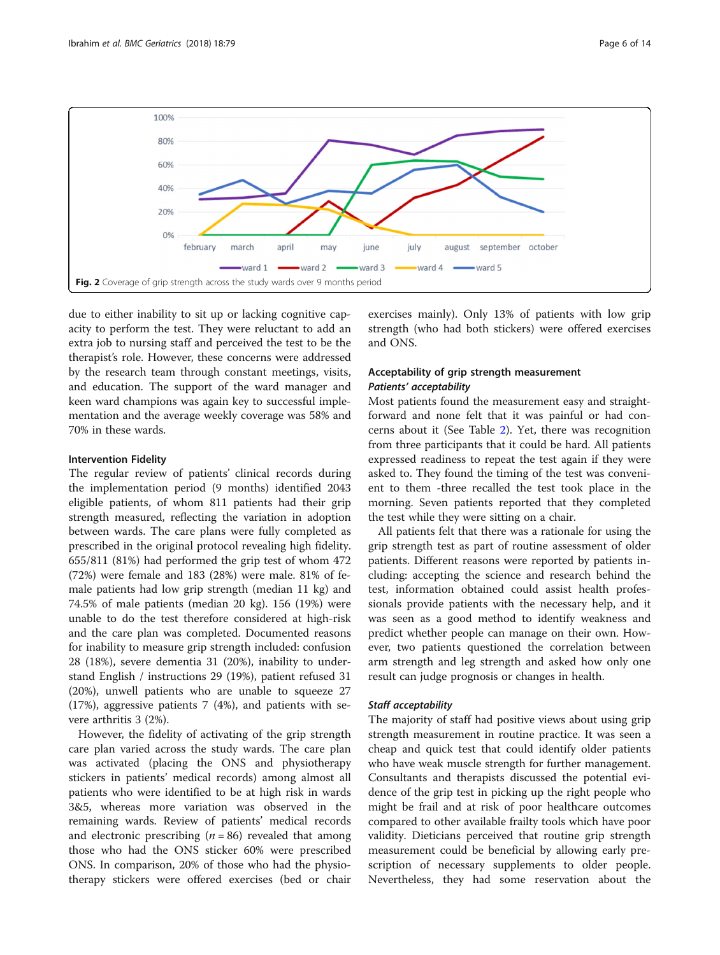<span id="page-5-0"></span>

due to either inability to sit up or lacking cognitive capacity to perform the test. They were reluctant to add an extra job to nursing staff and perceived the test to be the therapist's role. However, these concerns were addressed by the research team through constant meetings, visits, and education. The support of the ward manager and keen ward champions was again key to successful implementation and the average weekly coverage was 58% and 70% in these wards.

#### Intervention Fidelity

The regular review of patients' clinical records during the implementation period (9 months) identified 2043 eligible patients, of whom 811 patients had their grip strength measured, reflecting the variation in adoption between wards. The care plans were fully completed as prescribed in the original protocol revealing high fidelity. 655/811 (81%) had performed the grip test of whom 472 (72%) were female and 183 (28%) were male. 81% of female patients had low grip strength (median 11 kg) and 74.5% of male patients (median 20 kg). 156 (19%) were unable to do the test therefore considered at high-risk and the care plan was completed. Documented reasons for inability to measure grip strength included: confusion 28 (18%), severe dementia 31 (20%), inability to understand English / instructions 29 (19%), patient refused 31 (20%), unwell patients who are unable to squeeze 27 (17%), aggressive patients 7 (4%), and patients with severe arthritis 3 (2%).

However, the fidelity of activating of the grip strength care plan varied across the study wards. The care plan was activated (placing the ONS and physiotherapy stickers in patients' medical records) among almost all patients who were identified to be at high risk in wards 3&5, whereas more variation was observed in the remaining wards. Review of patients' medical records and electronic prescribing ( $n = 86$ ) revealed that among those who had the ONS sticker 60% were prescribed ONS. In comparison, 20% of those who had the physiotherapy stickers were offered exercises (bed or chair

exercises mainly). Only 13% of patients with low grip strength (who had both stickers) were offered exercises and ONS.

## Acceptability of grip strength measurement Patients' acceptability

Most patients found the measurement easy and straightforward and none felt that it was painful or had concerns about it (See Table [2\)](#page-6-0). Yet, there was recognition from three participants that it could be hard. All patients expressed readiness to repeat the test again if they were asked to. They found the timing of the test was convenient to them -three recalled the test took place in the morning. Seven patients reported that they completed the test while they were sitting on a chair.

All patients felt that there was a rationale for using the grip strength test as part of routine assessment of older patients. Different reasons were reported by patients including: accepting the science and research behind the test, information obtained could assist health professionals provide patients with the necessary help, and it was seen as a good method to identify weakness and predict whether people can manage on their own. However, two patients questioned the correlation between arm strength and leg strength and asked how only one result can judge prognosis or changes in health.

## Staff acceptability

The majority of staff had positive views about using grip strength measurement in routine practice. It was seen a cheap and quick test that could identify older patients who have weak muscle strength for further management. Consultants and therapists discussed the potential evidence of the grip test in picking up the right people who might be frail and at risk of poor healthcare outcomes compared to other available frailty tools which have poor validity. Dieticians perceived that routine grip strength measurement could be beneficial by allowing early prescription of necessary supplements to older people. Nevertheless, they had some reservation about the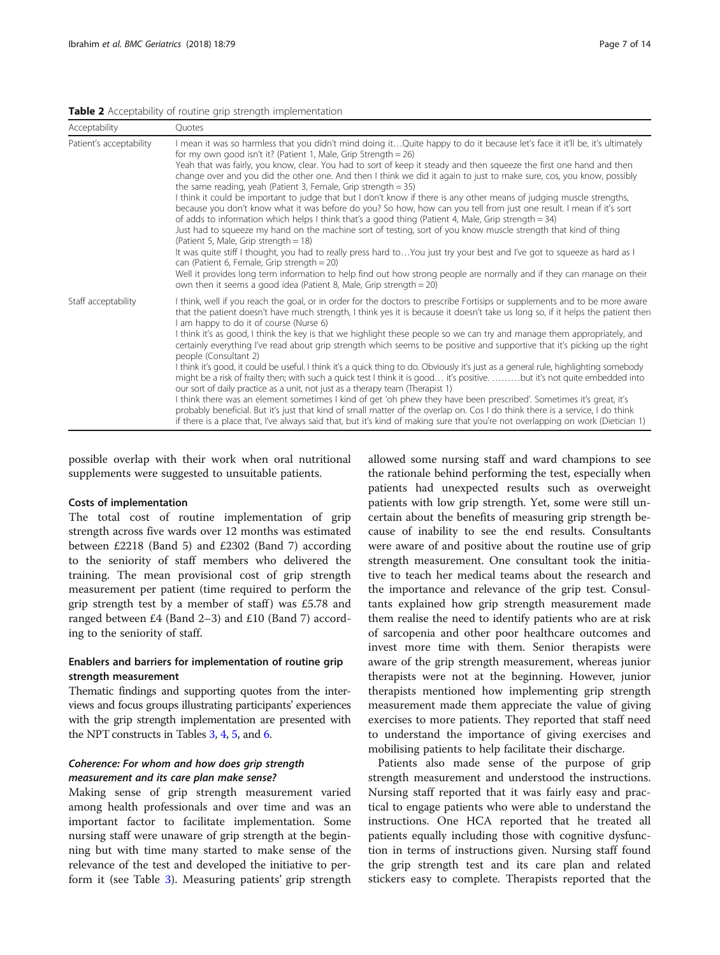<span id="page-6-0"></span>

| Acceptability           | <b>Ouotes</b>                                                                                                                                                                                                                                                                                                                                                                                                                                                                                                                                                                                                                                                                                                                                                                                                                                                                                                                                                                                                                                                                                                                                                                                                                                                                                                                                                                                                                |
|-------------------------|------------------------------------------------------------------------------------------------------------------------------------------------------------------------------------------------------------------------------------------------------------------------------------------------------------------------------------------------------------------------------------------------------------------------------------------------------------------------------------------------------------------------------------------------------------------------------------------------------------------------------------------------------------------------------------------------------------------------------------------------------------------------------------------------------------------------------------------------------------------------------------------------------------------------------------------------------------------------------------------------------------------------------------------------------------------------------------------------------------------------------------------------------------------------------------------------------------------------------------------------------------------------------------------------------------------------------------------------------------------------------------------------------------------------------|
| Patient's acceptability | I mean it was so harmless that you didn't mind doing itQuite happy to do it because let's face it it'll be, it's ultimately<br>for my own good isn't it? (Patient 1, Male, Grip Strength = $26$ )<br>Yeah that was fairly, you know, clear. You had to sort of keep it steady and then squeeze the first one hand and then<br>change over and you did the other one. And then I think we did it again to just to make sure, cos, you know, possibly<br>the same reading, yeah (Patient 3, Female, Grip strength = $35$ )<br>I think it could be important to judge that but I don't know if there is any other means of judging muscle strengths,<br>because you don't know what it was before do you? So how, how can you tell from just one result. I mean if it's sort<br>of adds to information which helps I think that's a good thing (Patient 4, Male, Grip strength = 34)<br>Just had to squeeze my hand on the machine sort of testing, sort of you know muscle strength that kind of thing<br>(Patient 5, Male, Grip strength = 18)<br>It was quite stiff I thought, you had to really press hard toYou just try your best and I've got to squeeze as hard as I<br>can (Patient 6, Female, Grip strength = 20)<br>Well it provides long term information to help find out how strong people are normally and if they can manage on their<br>own then it seems a good idea (Patient 8, Male, Grip strength $= 20$ ) |
| Staff acceptability     | I think, well if you reach the goal, or in order for the doctors to prescribe Fortisips or supplements and to be more aware<br>that the patient doesn't have much strength, I think yes it is because it doesn't take us long so, if it helps the patient then<br>am happy to do it of course (Nurse 6)<br>I think it's as good, I think the key is that we highlight these people so we can try and manage them appropriately, and<br>certainly everything I've read about grip strength which seems to be positive and supportive that it's picking up the right<br>people (Consultant 2)<br>I think it's good, it could be useful. I think it's a quick thing to do. Obviously it's just as a general rule, highlighting somebody<br>might be a risk of frailty then; with such a quick test I think it is good it's positive. but it's not quite embedded into<br>our sort of daily practice as a unit, not just as a therapy team (Therapist 1)<br>I think there was an element sometimes I kind of get 'oh phew they have been prescribed'. Sometimes it's great, it's<br>probably beneficial. But it's just that kind of small matter of the overlap on. Cos I do think there is a service, I do think<br>if there is a place that, I've always said that, but it's kind of making sure that you're not overlapping on work (Dietician 1)                                                                             |

possible overlap with their work when oral nutritional supplements were suggested to unsuitable patients.

#### Costs of implementation

The total cost of routine implementation of grip strength across five wards over 12 months was estimated between £2218 (Band 5) and £2302 (Band 7) according to the seniority of staff members who delivered the training. The mean provisional cost of grip strength measurement per patient (time required to perform the grip strength test by a member of staff) was  $£5.78$  and ranged between £4 (Band 2–3) and £10 (Band 7) according to the seniority of staff.

## Enablers and barriers for implementation of routine grip strength measurement

Thematic findings and supporting quotes from the interviews and focus groups illustrating participants' experiences with the grip strength implementation are presented with the NPT constructs in Tables [3,](#page-7-0) [4](#page-7-0), [5](#page-8-0), and [6.](#page-8-0)

## Coherence: For whom and how does grip strength measurement and its care plan make sense?

Making sense of grip strength measurement varied among health professionals and over time and was an important factor to facilitate implementation. Some nursing staff were unaware of grip strength at the beginning but with time many started to make sense of the relevance of the test and developed the initiative to perform it (see Table [3\)](#page-7-0). Measuring patients' grip strength

allowed some nursing staff and ward champions to see the rationale behind performing the test, especially when patients had unexpected results such as overweight patients with low grip strength. Yet, some were still uncertain about the benefits of measuring grip strength because of inability to see the end results. Consultants were aware of and positive about the routine use of grip strength measurement. One consultant took the initiative to teach her medical teams about the research and the importance and relevance of the grip test. Consultants explained how grip strength measurement made them realise the need to identify patients who are at risk of sarcopenia and other poor healthcare outcomes and invest more time with them. Senior therapists were aware of the grip strength measurement, whereas junior therapists were not at the beginning. However, junior therapists mentioned how implementing grip strength measurement made them appreciate the value of giving exercises to more patients. They reported that staff need to understand the importance of giving exercises and mobilising patients to help facilitate their discharge.

Patients also made sense of the purpose of grip strength measurement and understood the instructions. Nursing staff reported that it was fairly easy and practical to engage patients who were able to understand the instructions. One HCA reported that he treated all patients equally including those with cognitive dysfunction in terms of instructions given. Nursing staff found the grip strength test and its care plan and related stickers easy to complete. Therapists reported that the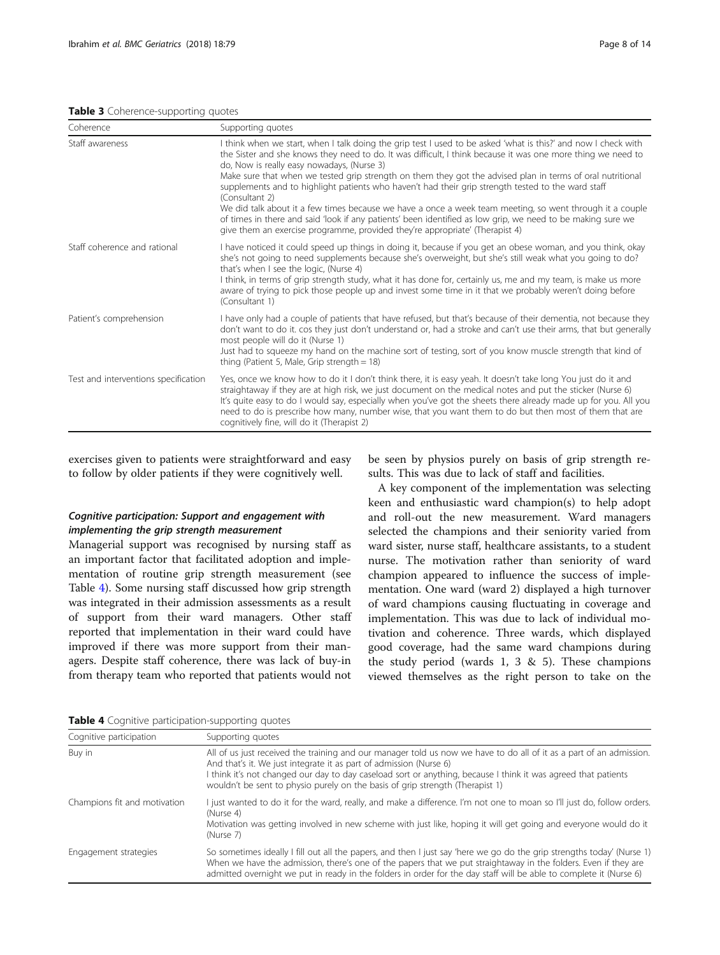#### <span id="page-7-0"></span>Table 3 Coherence-supporting quotes

| Coherence                            | Supporting quotes                                                                                                                                                                                                                                                                                                                                                                                                                                                                                                                                                                                                                                                                                                                                                                                                             |
|--------------------------------------|-------------------------------------------------------------------------------------------------------------------------------------------------------------------------------------------------------------------------------------------------------------------------------------------------------------------------------------------------------------------------------------------------------------------------------------------------------------------------------------------------------------------------------------------------------------------------------------------------------------------------------------------------------------------------------------------------------------------------------------------------------------------------------------------------------------------------------|
| Staff awareness                      | I think when we start, when I talk doing the grip test I used to be asked 'what is this?' and now I check with<br>the Sister and she knows they need to do. It was difficult, I think because it was one more thing we need to<br>do, Now is really easy nowadays, (Nurse 3)<br>Make sure that when we tested grip strength on them they got the advised plan in terms of oral nutritional<br>supplements and to highlight patients who haven't had their grip strength tested to the ward staff<br>(Consultant 2)<br>We did talk about it a few times because we have a once a week team meeting, so went through it a couple<br>of times in there and said 'look if any patients' been identified as low grip, we need to be making sure we<br>give them an exercise programme, provided they're appropriate' (Therapist 4) |
| Staff coherence and rational         | I have noticed it could speed up things in doing it, because if you get an obese woman, and you think, okay<br>she's not going to need supplements because she's overweight, but she's still weak what you going to do?<br>that's when I see the logic, (Nurse 4)<br>I think, in terms of grip strength study, what it has done for, certainly us, me and my team, is make us more<br>aware of trying to pick those people up and invest some time in it that we probably weren't doing before<br>(Consultant 1)                                                                                                                                                                                                                                                                                                              |
| Patient's comprehension              | I have only had a couple of patients that have refused, but that's because of their dementia, not because they<br>don't want to do it. cos they just don't understand or, had a stroke and can't use their arms, that but generally<br>most people will do it (Nurse 1)<br>Just had to squeeze my hand on the machine sort of testing, sort of you know muscle strength that kind of<br>thing (Patient 5, Male, Grip strength = $18$ )                                                                                                                                                                                                                                                                                                                                                                                        |
| Test and interventions specification | Yes, once we know how to do it I don't think there, it is easy yeah. It doesn't take long You just do it and<br>straightaway if they are at high risk, we just document on the medical notes and put the sticker (Nurse 6)<br>It's quite easy to do I would say, especially when you've got the sheets there already made up for you. All you<br>need to do is prescribe how many, number wise, that you want them to do but then most of them that are<br>cognitively fine, will do it (Therapist 2)                                                                                                                                                                                                                                                                                                                         |

exercises given to patients were straightforward and easy to follow by older patients if they were cognitively well.

## Cognitive participation: Support and engagement with implementing the grip strength measurement

Managerial support was recognised by nursing staff as an important factor that facilitated adoption and implementation of routine grip strength measurement (see Table 4). Some nursing staff discussed how grip strength was integrated in their admission assessments as a result of support from their ward managers. Other staff reported that implementation in their ward could have improved if there was more support from their managers. Despite staff coherence, there was lack of buy-in from therapy team who reported that patients would not

be seen by physios purely on basis of grip strength results. This was due to lack of staff and facilities.

A key component of the implementation was selecting keen and enthusiastic ward champion(s) to help adopt and roll-out the new measurement. Ward managers selected the champions and their seniority varied from ward sister, nurse staff, healthcare assistants, to a student nurse. The motivation rather than seniority of ward champion appeared to influence the success of implementation. One ward (ward 2) displayed a high turnover of ward champions causing fluctuating in coverage and implementation. This was due to lack of individual motivation and coherence. Three wards, which displayed good coverage, had the same ward champions during the study period (wards 1, 3 & 5). These champions viewed themselves as the right person to take on the

Table 4 Cognitive participation-supporting quotes

| Cognitive participation      | Supporting guotes                                                                                                                                                                                                                                                                                                                                                                            |
|------------------------------|----------------------------------------------------------------------------------------------------------------------------------------------------------------------------------------------------------------------------------------------------------------------------------------------------------------------------------------------------------------------------------------------|
| Buy in                       | All of us just received the training and our manager told us now we have to do all of it as a part of an admission.<br>And that's it. We just integrate it as part of admission (Nurse 6)<br>I think it's not changed our day to day caseload sort or anything, because I think it was agreed that patients<br>wouldn't be sent to physio purely on the basis of grip strength (Therapist 1) |
| Champions fit and motivation | I just wanted to do it for the ward, really, and make a difference. I'm not one to moan so I'll just do, follow orders.<br>(Nurse 4)<br>Motivation was getting involved in new scheme with just like, hoping it will get going and everyone would do it<br>(Nurse 7)                                                                                                                         |
| Engagement strategies        | So sometimes ideally I fill out all the papers, and then I just say 'here we go do the grip strengths today' (Nurse 1)<br>When we have the admission, there's one of the papers that we put straightaway in the folders. Even if they are<br>admitted overnight we put in ready in the folders in order for the day staff will be able to complete it (Nurse 6)                              |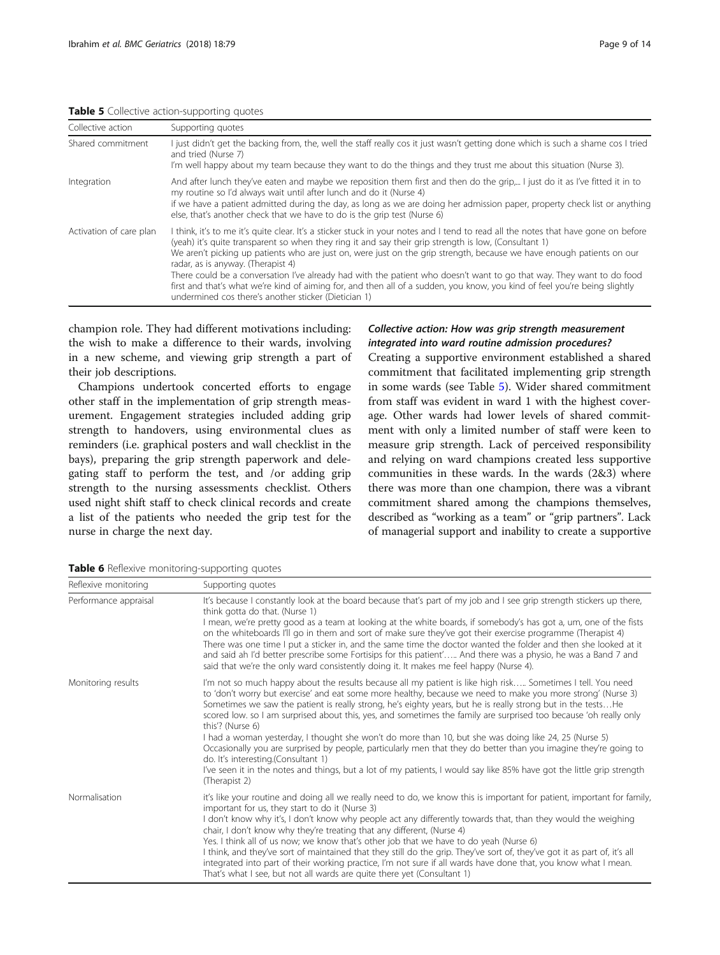<span id="page-8-0"></span>

| Collective action       | Supporting guotes                                                                                                                                                                                                                                                                                                                                                                                                                                                                                                                                                                                                                                                                                                         |
|-------------------------|---------------------------------------------------------------------------------------------------------------------------------------------------------------------------------------------------------------------------------------------------------------------------------------------------------------------------------------------------------------------------------------------------------------------------------------------------------------------------------------------------------------------------------------------------------------------------------------------------------------------------------------------------------------------------------------------------------------------------|
| Shared commitment       | just didn't get the backing from, the, well the staff really cos it just wasn't getting done which is such a shame cos I tried<br>and tried (Nurse 7)<br>I'm well happy about my team because they want to do the things and they trust me about this situation (Nurse 3).                                                                                                                                                                                                                                                                                                                                                                                                                                                |
| Integration             | And after lunch they've eaten and maybe we reposition them first and then do the grip, I just do it as I've fitted it in to<br>my routine so I'd always wait until after lunch and do it (Nurse 4)<br>if we have a patient admitted during the day, as long as we are doing her admission paper, property check list or anything<br>else, that's another check that we have to do is the grip test (Nurse 6)                                                                                                                                                                                                                                                                                                              |
| Activation of care plan | I think, it's to me it's quite clear. It's a sticker stuck in your notes and I tend to read all the notes that have gone on before<br>(yeah) it's quite transparent so when they ring it and say their grip strength is low, (Consultant 1)<br>We aren't picking up patients who are just on, were just on the grip strength, because we have enough patients on our<br>radar, as is anyway. (Therapist 4)<br>There could be a conversation I've already had with the patient who doesn't want to go that way. They want to do food<br>first and that's what we're kind of aiming for, and then all of a sudden, you know, you kind of feel you're being slightly<br>undermined cos there's another sticker (Dietician 1) |

champion role. They had different motivations including: the wish to make a difference to their wards, involving in a new scheme, and viewing grip strength a part of their job descriptions.

Champions undertook concerted efforts to engage other staff in the implementation of grip strength measurement. Engagement strategies included adding grip strength to handovers, using environmental clues as reminders (i.e. graphical posters and wall checklist in the bays), preparing the grip strength paperwork and delegating staff to perform the test, and /or adding grip strength to the nursing assessments checklist. Others used night shift staff to check clinical records and create a list of the patients who needed the grip test for the nurse in charge the next day.

## Collective action: How was grip strength measurement integrated into ward routine admission procedures?

Creating a supportive environment established a shared commitment that facilitated implementing grip strength in some wards (see Table 5). Wider shared commitment from staff was evident in ward 1 with the highest coverage. Other wards had lower levels of shared commitment with only a limited number of staff were keen to measure grip strength. Lack of perceived responsibility and relying on ward champions created less supportive communities in these wards. In the wards (2&3) where there was more than one champion, there was a vibrant commitment shared among the champions themselves, described as "working as a team" or "grip partners". Lack of managerial support and inability to create a supportive

| Reflexive monitoring  | Supporting quotes                                                                                                                                                                                                                                                                                                                                                                                                                                                                                                                                                                                                                                                                                                                                                                                                                                                                                  |
|-----------------------|----------------------------------------------------------------------------------------------------------------------------------------------------------------------------------------------------------------------------------------------------------------------------------------------------------------------------------------------------------------------------------------------------------------------------------------------------------------------------------------------------------------------------------------------------------------------------------------------------------------------------------------------------------------------------------------------------------------------------------------------------------------------------------------------------------------------------------------------------------------------------------------------------|
| Performance appraisal | It's because I constantly look at the board because that's part of my job and I see grip strength stickers up there,<br>think gotta do that. (Nurse 1)<br>I mean, we're pretty good as a team at looking at the white boards, if somebody's has got a, um, one of the fists<br>on the whiteboards I'll go in them and sort of make sure they've got their exercise programme (Therapist 4)<br>There was one time I put a sticker in, and the same time the doctor wanted the folder and then she looked at it<br>and said ah I'd better prescribe some Fortisips for this patient' And there was a physio, he was a Band 7 and<br>said that we're the only ward consistently doing it. It makes me feel happy (Nurse 4).                                                                                                                                                                           |
| Monitoring results    | I'm not so much happy about the results because all my patient is like high risk Sometimes I tell. You need<br>to 'don't worry but exercise' and eat some more healthy, because we need to make you more strong' (Nurse 3)<br>Sometimes we saw the patient is really strong, he's eighty years, but he is really strong but in the testsHe<br>scored low, so I am surprised about this, yes, and sometimes the family are surprised too because 'oh really only<br>this'? (Nurse 6)<br>I had a woman yesterday, I thought she won't do more than 10, but she was doing like 24, 25 (Nurse 5)<br>Occasionally you are surprised by people, particularly men that they do better than you imagine they're going to<br>do. It's interesting.(Consultant 1)<br>I've seen it in the notes and things, but a lot of my patients, I would say like 85% have got the little grip strength<br>(Therapist 2) |
| Normalisation         | it's like your routine and doing all we really need to do, we know this is important for patient, important for family,<br>important for us, they start to do it (Nurse 3)<br>I don't know why it's, I don't know why people act any differently towards that, than they would the weighing<br>chair, I don't know why they're treating that any different, (Nurse 4)<br>Yes. I think all of us now; we know that's other job that we have to do yeah (Nurse 6)<br>I think, and they've sort of maintained that they still do the grip. They've sort of, they've got it as part of, it's all<br>integrated into part of their working practice, I'm not sure if all wards have done that, you know what I mean.<br>That's what I see, but not all wards are quite there yet (Consultant 1)                                                                                                         |

Table 6 Reflexive monitoring-supporting quotes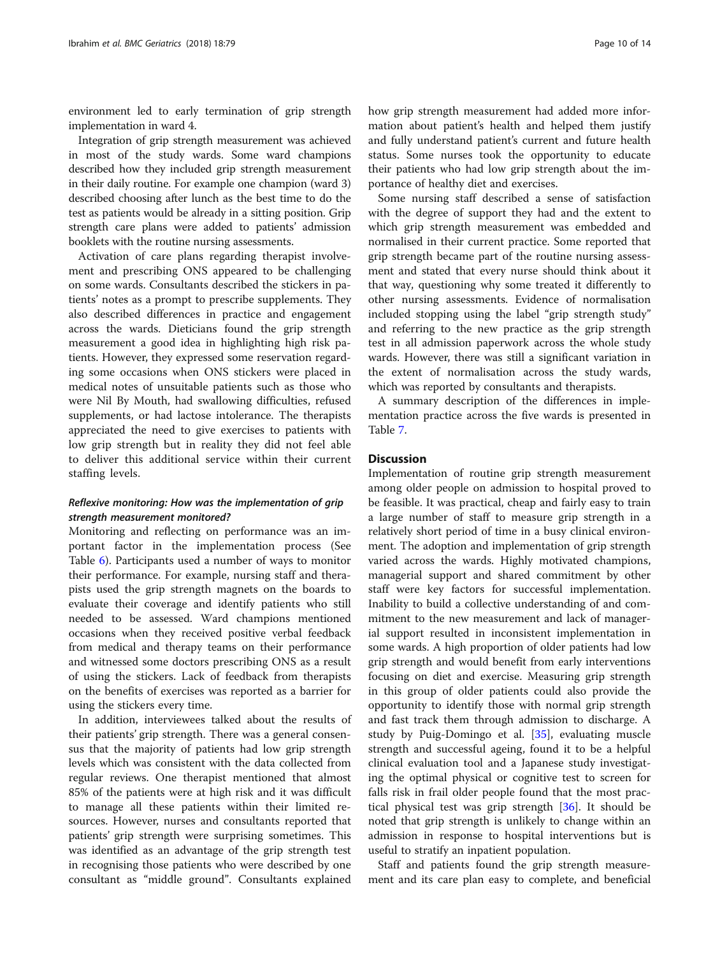environment led to early termination of grip strength implementation in ward 4.

Integration of grip strength measurement was achieved in most of the study wards. Some ward champions described how they included grip strength measurement in their daily routine. For example one champion (ward 3) described choosing after lunch as the best time to do the test as patients would be already in a sitting position. Grip strength care plans were added to patients' admission booklets with the routine nursing assessments.

Activation of care plans regarding therapist involvement and prescribing ONS appeared to be challenging on some wards. Consultants described the stickers in patients' notes as a prompt to prescribe supplements. They also described differences in practice and engagement across the wards. Dieticians found the grip strength measurement a good idea in highlighting high risk patients. However, they expressed some reservation regarding some occasions when ONS stickers were placed in medical notes of unsuitable patients such as those who were Nil By Mouth, had swallowing difficulties, refused supplements, or had lactose intolerance. The therapists appreciated the need to give exercises to patients with low grip strength but in reality they did not feel able to deliver this additional service within their current staffing levels.

## Reflexive monitoring: How was the implementation of grip strength measurement monitored?

Monitoring and reflecting on performance was an important factor in the implementation process (See Table [6\)](#page-8-0). Participants used a number of ways to monitor their performance. For example, nursing staff and therapists used the grip strength magnets on the boards to evaluate their coverage and identify patients who still needed to be assessed. Ward champions mentioned occasions when they received positive verbal feedback from medical and therapy teams on their performance and witnessed some doctors prescribing ONS as a result of using the stickers. Lack of feedback from therapists on the benefits of exercises was reported as a barrier for using the stickers every time.

In addition, interviewees talked about the results of their patients' grip strength. There was a general consensus that the majority of patients had low grip strength levels which was consistent with the data collected from regular reviews. One therapist mentioned that almost 85% of the patients were at high risk and it was difficult to manage all these patients within their limited resources. However, nurses and consultants reported that patients' grip strength were surprising sometimes. This was identified as an advantage of the grip strength test in recognising those patients who were described by one consultant as "middle ground". Consultants explained

how grip strength measurement had added more information about patient's health and helped them justify and fully understand patient's current and future health status. Some nurses took the opportunity to educate their patients who had low grip strength about the importance of healthy diet and exercises.

Some nursing staff described a sense of satisfaction with the degree of support they had and the extent to which grip strength measurement was embedded and normalised in their current practice. Some reported that grip strength became part of the routine nursing assessment and stated that every nurse should think about it that way, questioning why some treated it differently to other nursing assessments. Evidence of normalisation included stopping using the label "grip strength study" and referring to the new practice as the grip strength test in all admission paperwork across the whole study wards. However, there was still a significant variation in the extent of normalisation across the study wards, which was reported by consultants and therapists.

A summary description of the differences in implementation practice across the five wards is presented in Table [7.](#page-10-0)

#### **Discussion**

Implementation of routine grip strength measurement among older people on admission to hospital proved to be feasible. It was practical, cheap and fairly easy to train a large number of staff to measure grip strength in a relatively short period of time in a busy clinical environment. The adoption and implementation of grip strength varied across the wards. Highly motivated champions, managerial support and shared commitment by other staff were key factors for successful implementation. Inability to build a collective understanding of and commitment to the new measurement and lack of managerial support resulted in inconsistent implementation in some wards. A high proportion of older patients had low grip strength and would benefit from early interventions focusing on diet and exercise. Measuring grip strength in this group of older patients could also provide the opportunity to identify those with normal grip strength and fast track them through admission to discharge. A study by Puig-Domingo et al. [[35](#page-12-0)], evaluating muscle strength and successful ageing, found it to be a helpful clinical evaluation tool and a Japanese study investigating the optimal physical or cognitive test to screen for falls risk in frail older people found that the most practical physical test was grip strength [[36\]](#page-12-0). It should be noted that grip strength is unlikely to change within an admission in response to hospital interventions but is useful to stratify an inpatient population.

Staff and patients found the grip strength measurement and its care plan easy to complete, and beneficial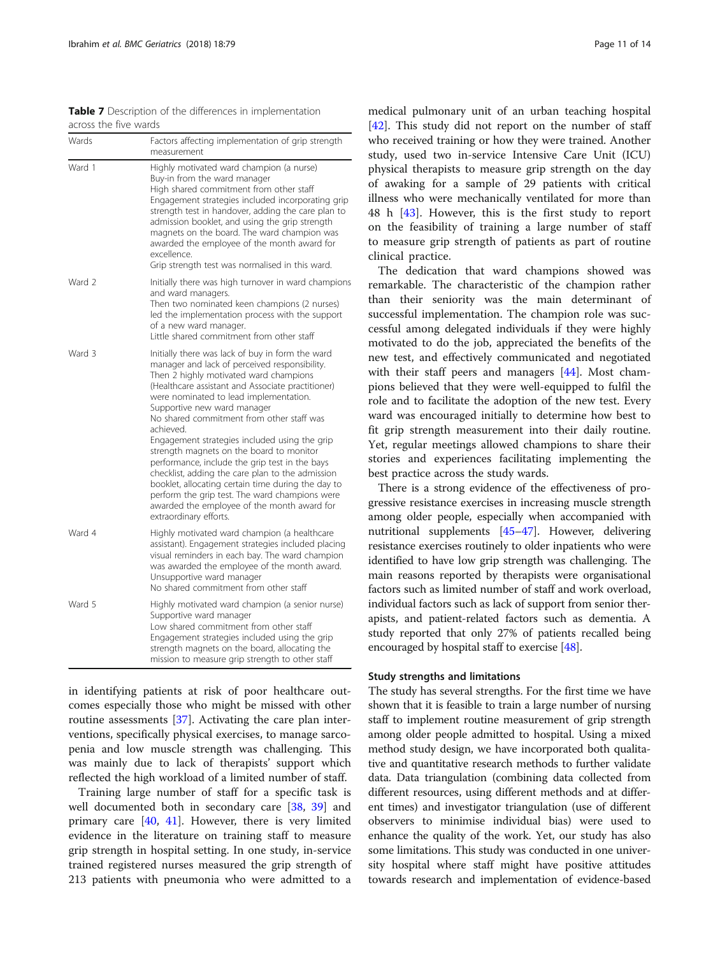<span id="page-10-0"></span>Table 7 Description of the differences in implementation across the five wards

| Wards  | Factors affecting implementation of grip strength<br>measurement                                                                                                                                                                                                                                                                                                                                                                                                                                                                                                                                                                                                                                                        |
|--------|-------------------------------------------------------------------------------------------------------------------------------------------------------------------------------------------------------------------------------------------------------------------------------------------------------------------------------------------------------------------------------------------------------------------------------------------------------------------------------------------------------------------------------------------------------------------------------------------------------------------------------------------------------------------------------------------------------------------------|
| Ward 1 | Highly motivated ward champion (a nurse)<br>Buy-in from the ward manager<br>High shared commitment from other staff<br>Engagement strategies included incorporating grip<br>strength test in handover, adding the care plan to<br>admission booklet, and using the grip strength<br>magnets on the board. The ward champion was<br>awarded the employee of the month award for<br>excellence.<br>Grip strength test was normalised in this ward.                                                                                                                                                                                                                                                                        |
| Ward 2 | Initially there was high turnover in ward champions<br>and ward managers.<br>Then two nominated keen champions (2 nurses)<br>led the implementation process with the support<br>of a new ward manager.<br>Little shared commitment from other staff                                                                                                                                                                                                                                                                                                                                                                                                                                                                     |
| Ward 3 | Initially there was lack of buy in form the ward<br>manager and lack of perceived responsibility.<br>Then 2 highly motivated ward champions<br>(Healthcare assistant and Associate practitioner)<br>were nominated to lead implementation.<br>Supportive new ward manager<br>No shared commitment from other staff was<br>achieved.<br>Engagement strategies included using the grip<br>strength magnets on the board to monitor<br>performance, include the grip test in the bays<br>checklist, adding the care plan to the admission<br>booklet, allocating certain time during the day to<br>perform the grip test. The ward champions were<br>awarded the employee of the month award for<br>extraordinary efforts. |
| Ward 4 | Highly motivated ward champion (a healthcare<br>assistant). Engagement strategies included placing<br>visual reminders in each bay. The ward champion<br>was awarded the employee of the month award.<br>Unsupportive ward manager<br>No shared commitment from other staff                                                                                                                                                                                                                                                                                                                                                                                                                                             |
| Ward 5 | Highly motivated ward champion (a senior nurse)<br>Supportive ward manager<br>Low shared commitment from other staff<br>Engagement strategies included using the grip<br>strength magnets on the board, allocating the<br>mission to measure grip strength to other staff                                                                                                                                                                                                                                                                                                                                                                                                                                               |

in identifying patients at risk of poor healthcare outcomes especially those who might be missed with other routine assessments [[37\]](#page-13-0). Activating the care plan interventions, specifically physical exercises, to manage sarcopenia and low muscle strength was challenging. This was mainly due to lack of therapists' support which reflected the high workload of a limited number of staff.

Training large number of staff for a specific task is well documented both in secondary care [[38,](#page-13-0) [39](#page-13-0)] and primary care [[40,](#page-13-0) [41](#page-13-0)]. However, there is very limited evidence in the literature on training staff to measure grip strength in hospital setting. In one study, in-service trained registered nurses measured the grip strength of 213 patients with pneumonia who were admitted to a

medical pulmonary unit of an urban teaching hospital  $[42]$  $[42]$ . This study did not report on the number of staff who received training or how they were trained. Another study, used two in-service Intensive Care Unit (ICU) physical therapists to measure grip strength on the day of awaking for a sample of 29 patients with critical illness who were mechanically ventilated for more than 48 h [[43\]](#page-13-0). However, this is the first study to report on the feasibility of training a large number of staff to measure grip strength of patients as part of routine clinical practice.

The dedication that ward champions showed was remarkable. The characteristic of the champion rather than their seniority was the main determinant of successful implementation. The champion role was successful among delegated individuals if they were highly motivated to do the job, appreciated the benefits of the new test, and effectively communicated and negotiated with their staff peers and managers [[44\]](#page-13-0). Most champions believed that they were well-equipped to fulfil the role and to facilitate the adoption of the new test. Every ward was encouraged initially to determine how best to fit grip strength measurement into their daily routine. Yet, regular meetings allowed champions to share their stories and experiences facilitating implementing the best practice across the study wards.

There is a strong evidence of the effectiveness of progressive resistance exercises in increasing muscle strength among older people, especially when accompanied with nutritional supplements [\[45](#page-13-0)–[47](#page-13-0)]. However, delivering resistance exercises routinely to older inpatients who were identified to have low grip strength was challenging. The main reasons reported by therapists were organisational factors such as limited number of staff and work overload, individual factors such as lack of support from senior therapists, and patient-related factors such as dementia. A study reported that only 27% of patients recalled being encouraged by hospital staff to exercise [[48\]](#page-13-0).

## Study strengths and limitations

The study has several strengths. For the first time we have shown that it is feasible to train a large number of nursing staff to implement routine measurement of grip strength among older people admitted to hospital. Using a mixed method study design, we have incorporated both qualitative and quantitative research methods to further validate data. Data triangulation (combining data collected from different resources, using different methods and at different times) and investigator triangulation (use of different observers to minimise individual bias) were used to enhance the quality of the work. Yet, our study has also some limitations. This study was conducted in one university hospital where staff might have positive attitudes towards research and implementation of evidence-based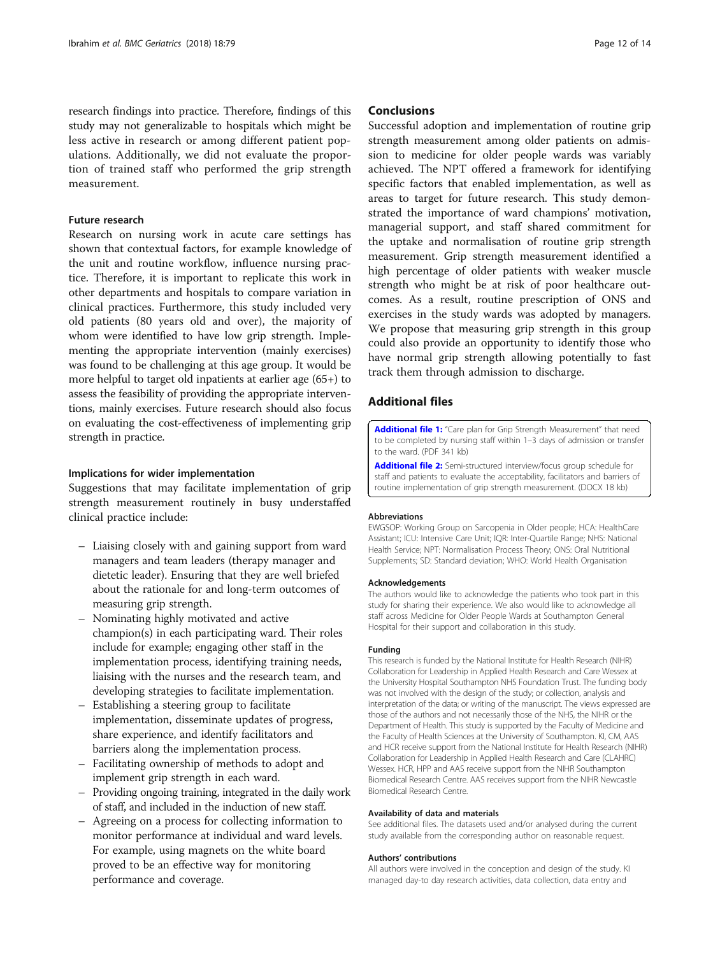<span id="page-11-0"></span>research findings into practice. Therefore, findings of this study may not generalizable to hospitals which might be less active in research or among different patient populations. Additionally, we did not evaluate the proportion of trained staff who performed the grip strength measurement.

## Future research

Research on nursing work in acute care settings has shown that contextual factors, for example knowledge of the unit and routine workflow, influence nursing practice. Therefore, it is important to replicate this work in other departments and hospitals to compare variation in clinical practices. Furthermore, this study included very old patients (80 years old and over), the majority of whom were identified to have low grip strength. Implementing the appropriate intervention (mainly exercises) was found to be challenging at this age group. It would be more helpful to target old inpatients at earlier age (65+) to assess the feasibility of providing the appropriate interventions, mainly exercises. Future research should also focus on evaluating the cost-effectiveness of implementing grip strength in practice.

#### Implications for wider implementation

Suggestions that may facilitate implementation of grip strength measurement routinely in busy understaffed clinical practice include:

- Liaising closely with and gaining support from ward managers and team leaders (therapy manager and dietetic leader). Ensuring that they are well briefed about the rationale for and long-term outcomes of measuring grip strength.
- Nominating highly motivated and active champion(s) in each participating ward. Their roles include for example; engaging other staff in the implementation process, identifying training needs, liaising with the nurses and the research team, and developing strategies to facilitate implementation.
- Establishing a steering group to facilitate implementation, disseminate updates of progress, share experience, and identify facilitators and barriers along the implementation process.
- Facilitating ownership of methods to adopt and implement grip strength in each ward.
- Providing ongoing training, integrated in the daily work of staff, and included in the induction of new staff.
- Agreeing on a process for collecting information to monitor performance at individual and ward levels. For example, using magnets on the white board proved to be an effective way for monitoring performance and coverage.

## **Conclusions**

Successful adoption and implementation of routine grip strength measurement among older patients on admission to medicine for older people wards was variably achieved. The NPT offered a framework for identifying specific factors that enabled implementation, as well as areas to target for future research. This study demonstrated the importance of ward champions' motivation, managerial support, and staff shared commitment for the uptake and normalisation of routine grip strength measurement. Grip strength measurement identified a high percentage of older patients with weaker muscle strength who might be at risk of poor healthcare outcomes. As a result, routine prescription of ONS and exercises in the study wards was adopted by managers. We propose that measuring grip strength in this group could also provide an opportunity to identify those who have normal grip strength allowing potentially to fast track them through admission to discharge.

## Additional files

[Additional file 1:](https://doi.org/10.1186/s12877-018-0768-5) "Care plan for Grip Strength Measurement" that need to be completed by nursing staff within 1–3 days of admission or transfer to the ward. (PDF 341 kb)

[Additional file 2:](https://doi.org/10.1186/s12877-018-0768-5) Semi-structured interview/focus group schedule for staff and patients to evaluate the acceptability, facilitators and barriers of routine implementation of grip strength measurement. (DOCX 18 kb)

#### Abbreviations

EWGSOP: Working Group on Sarcopenia in Older people; HCA: HealthCare Assistant; ICU: Intensive Care Unit; IQR: Inter-Quartile Range; NHS: National Health Service; NPT: Normalisation Process Theory; ONS: Oral Nutritional Supplements; SD: Standard deviation; WHO: World Health Organisation

#### Acknowledgements

The authors would like to acknowledge the patients who took part in this study for sharing their experience. We also would like to acknowledge all staff across Medicine for Older People Wards at Southampton General Hospital for their support and collaboration in this study.

#### Funding

This research is funded by the National Institute for Health Research (NIHR) Collaboration for Leadership in Applied Health Research and Care Wessex at the University Hospital Southampton NHS Foundation Trust. The funding body was not involved with the design of the study; or collection, analysis and interpretation of the data; or writing of the manuscript. The views expressed are those of the authors and not necessarily those of the NHS, the NIHR or the Department of Health. This study is supported by the Faculty of Medicine and the Faculty of Health Sciences at the University of Southampton. KI, CM, AAS and HCR receive support from the National Institute for Health Research (NIHR) Collaboration for Leadership in Applied Health Research and Care (CLAHRC) Wessex. HCR, HPP and AAS receive support from the NIHR Southampton Biomedical Research Centre. AAS receives support from the NIHR Newcastle Biomedical Research Centre.

#### Availability of data and materials

See additional files. The datasets used and/or analysed during the current study available from the corresponding author on reasonable request.

#### Authors' contributions

All authors were involved in the conception and design of the study. KI managed day-to day research activities, data collection, data entry and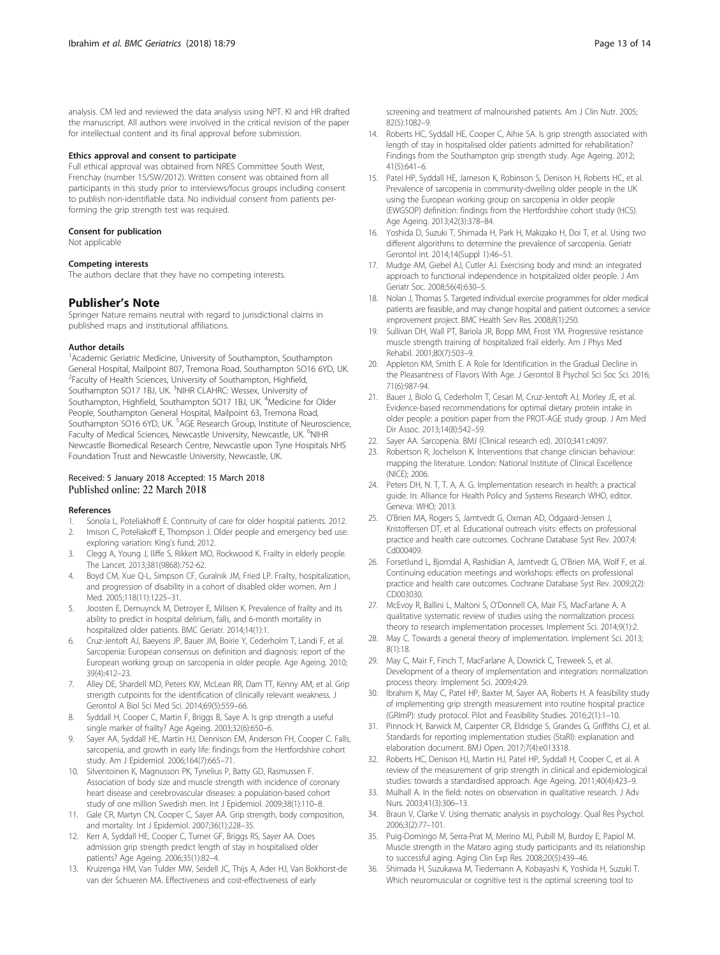<span id="page-12-0"></span>analysis. CM led and reviewed the data analysis using NPT. KI and HR drafted the manuscript. All authors were involved in the critical revision of the paper for intellectual content and its final approval before submission.

#### Ethics approval and consent to participate

Full ethical approval was obtained from NRES Committee South West, Frenchay (number 15/SW/2012). Written consent was obtained from all participants in this study prior to interviews/focus groups including consent to publish non-identifiable data. No individual consent from patients performing the grip strength test was required.

#### Consent for publication

Not applicable

#### Competing interests

The authors declare that they have no competing interests.

#### Publisher's Note

Springer Nature remains neutral with regard to jurisdictional claims in published maps and institutional affiliations.

#### Author details

<sup>1</sup> Academic Geriatric Medicine, University of Southampton, Southampton General Hospital, Mailpoint 807, Tremona Road, Southampton SO16 6YD, UK. <sup>2</sup>Faculty of Health Sciences, University of Southampton, Highfield, Southampton SO17 1BJ, UK. <sup>3</sup>NIHR CLAHRC: Wessex, University of Southampton, Highfield, Southampton SO17 1BJ, UK. <sup>4</sup>Medicine for Older People, Southampton General Hospital, Mailpoint 63, Tremona Road, Southampton SO16 6YD, UK. <sup>5</sup>AGE Research Group, Institute of Neuroscience, Faculty of Medical Sciences, Newcastle University, Newcastle, UK. <sup>6</sup>NIHR Newcastle Biomedical Research Centre, Newcastle upon Tyne Hospitals NHS Foundation Trust and Newcastle University, Newcastle, UK.

#### Received: 5 January 2018 Accepted: 15 March 2018 Published online: 22 March 2018

#### References

- Sonola L, Poteliakhoff E. Continuity of care for older hospital patients. 2012.
- 2. Imison C, Poteliakoff E, Thompson J. Older people and emergency bed use:
- exploring variation: King's fund; 2012. Clegg A, Young J, Iliffe S, Rikkert MO, Rockwood K. Frailty in elderly people. The Lancet. 2013;381(9868):752-62.
- 4. Boyd CM, Xue Q-L, Simpson CF, Guralnik JM, Fried LP. Frailty, hospitalization, and progression of disability in a cohort of disabled older women. Am J Med. 2005;118(11):1225–31.
- 5. Joosten E, Demuynck M, Detroyer E, Milisen K. Prevalence of frailty and its ability to predict in hospital delirium, falls, and 6-month mortality in hospitalized older patients. BMC Geriatr. 2014;14(1):1.
- 6. Cruz-Jentoft AJ, Baeyens JP, Bauer JM, Boirie Y, Cederholm T, Landi F, et al. Sarcopenia: European consensus on definition and diagnosis: report of the European working group on sarcopenia in older people. Age Ageing. 2010; 39(4):412–23.
- 7. Alley DE, Shardell MD, Peters KW, McLean RR, Dam TT, Kenny AM, et al. Grip strength cutpoints for the identification of clinically relevant weakness. J Gerontol A Biol Sci Med Sci. 2014;69(5):559–66.
- 8. Syddall H, Cooper C, Martin F, Briggs B, Saye A. Is grip strength a useful single marker of frailty? Age Ageing. 2003;32(6):650–6.
- Sayer AA, Syddall HE, Martin HJ, Dennison EM, Anderson FH, Cooper C. Falls, sarcopenia, and growth in early life: findings from the Hertfordshire cohort study. Am J Epidemiol. 2006;164(7):665–71.
- 10. Silventoinen K, Magnusson PK, Tynelius P, Batty GD, Rasmussen F. Association of body size and muscle strength with incidence of coronary heart disease and cerebrovascular diseases: a population-based cohort study of one million Swedish men. Int J Epidemiol. 2009;38(1):110–8.
- 11. Gale CR, Martyn CN, Cooper C, Sayer AA. Grip strength, body composition, and mortality. Int J Epidemiol. 2007;36(1):228–35.
- 12. Kerr A, Syddall HE, Cooper C, Turner GF, Briggs RS, Sayer AA. Does admission grip strength predict length of stay in hospitalised older patients? Age Ageing. 2006;35(1):82–4.
- 13. Kruizenga HM, Van Tulder MW, Seidell JC, Thijs A, Ader HJ, Van Bokhorst-de van der Schueren MA. Effectiveness and cost-effectiveness of early

screening and treatment of malnourished patients. Am J Clin Nutr. 2005; 82(5):1082–9.

- 14. Roberts HC, Syddall HE, Cooper C, Aihie SA. Is grip strength associated with length of stay in hospitalised older patients admitted for rehabilitation? Findings from the Southampton grip strength study. Age Ageing. 2012; 41(5):641–6.
- 15. Patel HP, Syddall HE, Jameson K, Robinson S, Denison H, Roberts HC, et al. Prevalence of sarcopenia in community-dwelling older people in the UK using the European working group on sarcopenia in older people (EWGSOP) definition: findings from the Hertfordshire cohort study (HCS). Age Ageing. 2013;42(3):378–84.
- 16. Yoshida D, Suzuki T, Shimada H, Park H, Makizako H, Doi T, et al. Using two different algorithms to determine the prevalence of sarcopenia. Geriatr Gerontol Int. 2014;14(Suppl 1):46–51.
- 17. Mudge AM, Giebel AJ, Cutler AJ. Exercising body and mind: an integrated approach to functional independence in hospitalized older people. J Am Geriatr Soc. 2008;56(4):630–5.
- 18. Nolan J, Thomas S. Targeted individual exercise programmes for older medical patients are feasible, and may change hospital and patient outcomes: a service improvement project. BMC Health Serv Res. 2008;8(1):250.
- 19. Sullivan DH, Wall PT, Bariola JR, Bopp MM, Frost YM. Progressive resistance muscle strength training of hospitalized frail elderly. Am J Phys Med Rehabil. 2001;80(7):503–9.
- 20. Appleton KM, Smith E. A Role for Identification in the Gradual Decline in the Pleasantness of Flavors With Age. J Gerontol B Psychol Sci Soc Sci. 2016; 71(6):987-94.
- 21. Bauer J, Biolo G, Cederholm T, Cesari M, Cruz-Jentoft AJ, Morley JE, et al. Evidence-based recommendations for optimal dietary protein intake in older people: a position paper from the PROT-AGE study group. J Am Med Dir Assoc. 2013;14(8):542–59.
- 22. Sayer AA. Sarcopenia. BMJ (Clinical research ed). 2010;341:c4097.
- 23. Robertson R, Jochelson K. Interventions that change clinician behaviour: mapping the literature. London: National Institute of Clinical Excellence (NICE); 2006.
- 24. Peters DH, N. T, T. A, A. G. Implementation research in health: a practical guide. In: Alliance for Health Policy and Systems Research WHO, editor. Geneva: WHO; 2013.
- 25. O'Brien MA, Rogers S, Jamtvedt G, Oxman AD, Odgaard-Jensen J, Kristoffersen DT, et al. Educational outreach visits: effects on professional practice and health care outcomes. Cochrane Database Syst Rev. 2007;4: Cd000409.
- 26. Forsetlund L, Bjorndal A, Rashidian A, Jamtvedt G, O'Brien MA, Wolf F, et al. Continuing education meetings and workshops: effects on professional practice and health care outcomes. Cochrane Database Syst Rev. 2009;2(2): CD003030.
- 27. McEvoy R, Ballini L, Maltoni S, O'Donnell CA, Mair FS, MacFarlane A. A qualitative systematic review of studies using the normalization process theory to research implementation processes. Implement Sci. 2014;9(1):2.
- 28. May C. Towards a general theory of implementation. Implement Sci. 2013; 8(1):18.
- 29. May C, Mair F, Finch T, MacFarlane A, Dowrick C, Treweek S, et al. Development of a theory of implementation and integration: normalization process theory. Implement Sci. 2009;4:29.
- 30. Ibrahim K, May C, Patel HP, Baxter M, Sayer AA, Roberts H. A feasibility study of implementing grip strength measurement into routine hospital practice (GRImP): study protocol. Pilot and Feasibility Studies. 2016;2(1):1–10.
- 31. Pinnock H, Barwick M, Carpenter CR, Eldridge S, Grandes G, Griffiths CJ, et al. Standards for reporting implementation studies (StaRI): explanation and elaboration document. BMJ Open. 2017;7(4):e013318.
- 32. Roberts HC, Denison HJ, Martin HJ, Patel HP, Syddall H, Cooper C, et al. A review of the measurement of grip strength in clinical and epidemiological studies: towards a standardised approach. Age Ageing. 2011;40(4):423–9.
- 33. Mulhall A. In the field: notes on observation in qualitative research. J Adv Nurs. 2003;41(3):306–13.
- 34. Braun V, Clarke V. Using thematic analysis in psychology. Qual Res Psychol. 2006;3(2):77–101.
- 35. Puig-Domingo M, Serra-Prat M, Merino MJ, Pubill M, Burdoy E, Papiol M. Muscle strength in the Mataro aging study participants and its relationship to successful aging. Aging Clin Exp Res. 2008;20(5):439–46.
- 36. Shimada H, Suzukawa M, Tiedemann A, Kobayashi K, Yoshida H, Suzuki T. Which neuromuscular or cognitive test is the optimal screening tool to